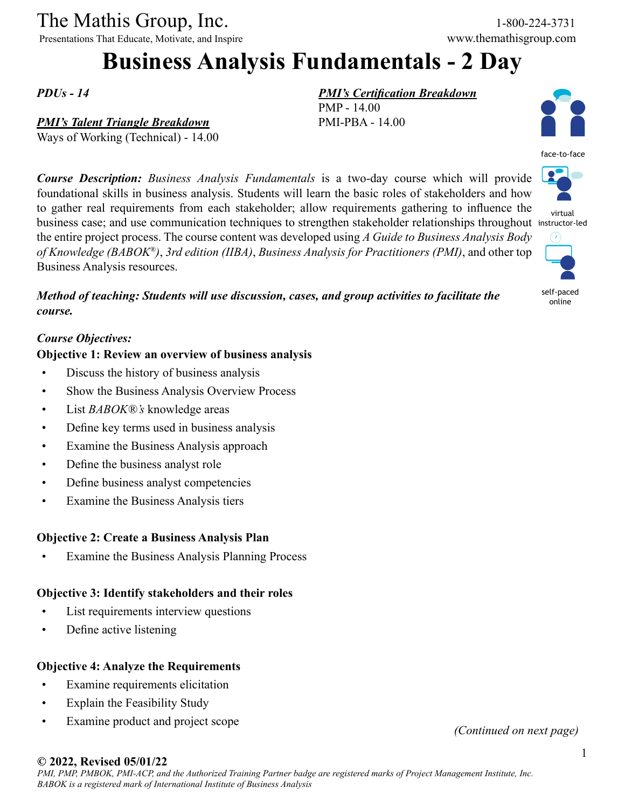### The Mathis Group, Inc. 1-800-224-3731

Presentations That Educate, Motivate, and Inspire www.themathisgroup.com

# **Business Analysis Fundamentals - 2 Day**

*PDUs - 14*

### *PMI's Talent Triangle Breakdown*

Ways of Working (Technical) - 14.00

*Course Description: Business Analysis Fundamentals* is a two-day course which will provide foundational skills in business analysis. Students will learn the basic roles of stakeholders and how to gather real requirements from each stakeholder; allow requirements gathering to influence the business case; and use communication techniques to strengthen stakeholder relationships throughout instructor-led the entire project process. The course content was developed using *A Guide to Business Analysis Body of Knowledge (BABOK®)*, *3rd edition (IIBA)*, *Business Analysis for Practitioners (PMI)*, and other top Business Analysis resources.

*Method of teaching: Students will use discussion, cases, and group activities to facilitate the course.*

### *Course Objectives:*

### **Objective 1: Review an overview of business analysis**

- Discuss the history of business analysis
- Show the Business Analysis Overview Process
- List *BABOK®'s* knowledge areas
- Define key terms used in business analysis
- Examine the Business Analysis approach
- Define the business analyst role
- Define business analyst competencies
- Examine the Business Analysis tiers

### **Objective 2: Create a Business Analysis Plan**

Examine the Business Analysis Planning Process

### **Objective 3: Identify stakeholders and their roles**

- List requirements interview questions
- Define active listening

### **Objective 4: Analyze the Requirements**

- Examine requirements elicitation
- Explain the Feasibility Study
- Examine product and project scope *(Continued on next page)*

### *PMI's Certification Breakdown*

PMP - 14.00 PMI-PBA - 14.00





virtual



self-paced online

### **© 2022, Revised 05/01/22**